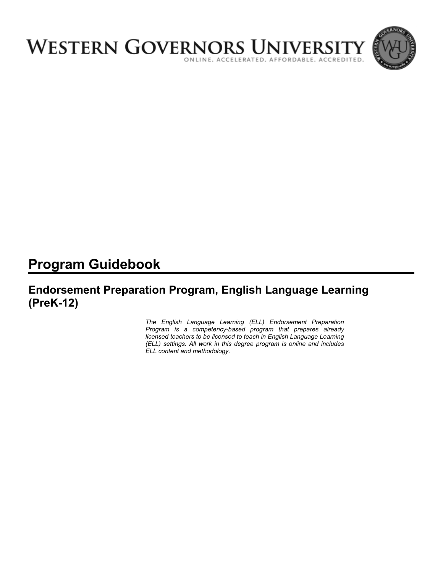

# **Program Guidebook**

# **Endorsement Preparation Program, English Language Learning (PreK-12)**

*The English Language Learning (ELL) Endorsement Preparation Program is a competency-based program that prepares already licensed teachers to be licensed to teach in English Language Learning (ELL) settings. All work in this degree program is online and includes ELL content and methodology.*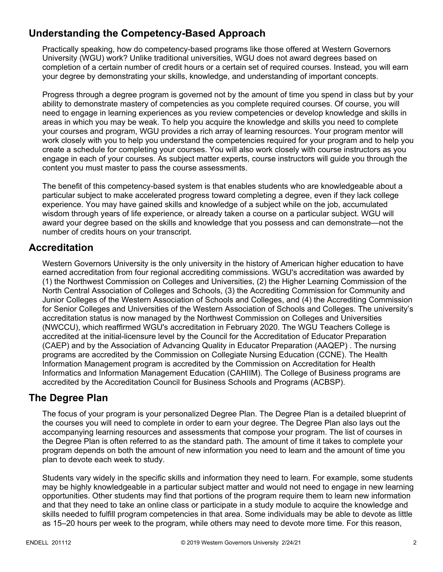# **Understanding the Competency-Based Approach**

Practically speaking, how do competency-based programs like those offered at Western Governors University (WGU) work? Unlike traditional universities, WGU does not award degrees based on completion of a certain number of credit hours or a certain set of required courses. Instead, you will earn your degree by demonstrating your skills, knowledge, and understanding of important concepts.

Progress through a degree program is governed not by the amount of time you spend in class but by your ability to demonstrate mastery of competencies as you complete required courses. Of course, you will need to engage in learning experiences as you review competencies or develop knowledge and skills in areas in which you may be weak. To help you acquire the knowledge and skills you need to complete your courses and program, WGU provides a rich array of learning resources. Your program mentor will work closely with you to help you understand the competencies required for your program and to help you create a schedule for completing your courses. You will also work closely with course instructors as you engage in each of your courses. As subject matter experts, course instructors will guide you through the content you must master to pass the course assessments.

The benefit of this competency-based system is that enables students who are knowledgeable about a particular subject to make accelerated progress toward completing a degree, even if they lack college experience. You may have gained skills and knowledge of a subject while on the job, accumulated wisdom through years of life experience, or already taken a course on a particular subject. WGU will award your degree based on the skills and knowledge that you possess and can demonstrate—not the number of credits hours on your transcript.

# **Accreditation**

Western Governors University is the only university in the history of American higher education to have earned accreditation from four regional accrediting commissions. WGU's accreditation was awarded by (1) the Northwest Commission on Colleges and Universities, (2) the Higher Learning Commission of the North Central Association of Colleges and Schools, (3) the Accrediting Commission for Community and Junior Colleges of the Western Association of Schools and Colleges, and (4) the Accrediting Commission for Senior Colleges and Universities of the Western Association of Schools and Colleges. The university's accreditation status is now managed by the Northwest Commission on Colleges and Universities (NWCCU), which reaffirmed WGU's accreditation in February 2020. The WGU Teachers College is accredited at the initial-licensure level by the Council for the Accreditation of Educator Preparation (CAEP) and by the Association of Advancing Quality in Educator Preparation (AAQEP) . The nursing programs are accredited by the Commission on Collegiate Nursing Education (CCNE). The Health Information Management program is accredited by the Commission on Accreditation for Health Informatics and Information Management Education (CAHIIM). The College of Business programs are accredited by the Accreditation Council for Business Schools and Programs (ACBSP).

### **The Degree Plan**

The focus of your program is your personalized Degree Plan. The Degree Plan is a detailed blueprint of the courses you will need to complete in order to earn your degree. The Degree Plan also lays out the accompanying learning resources and assessments that compose your program. The list of courses in the Degree Plan is often referred to as the standard path. The amount of time it takes to complete your program depends on both the amount of new information you need to learn and the amount of time you plan to devote each week to study.

Students vary widely in the specific skills and information they need to learn. For example, some students may be highly knowledgeable in a particular subject matter and would not need to engage in new learning opportunities. Other students may find that portions of the program require them to learn new information and that they need to take an online class or participate in a study module to acquire the knowledge and skills needed to fulfill program competencies in that area. Some individuals may be able to devote as little as 15–20 hours per week to the program, while others may need to devote more time. For this reason,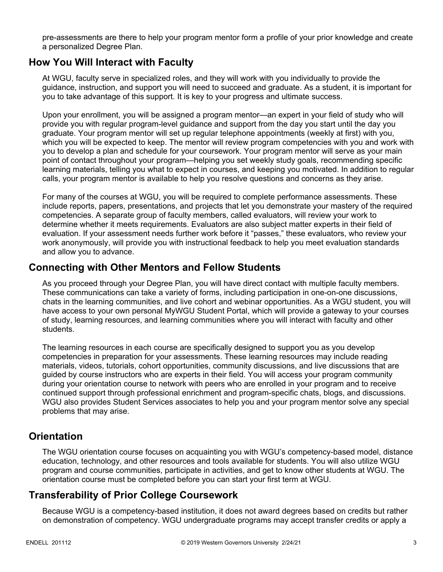pre-assessments are there to help your program mentor form a profile of your prior knowledge and create a personalized Degree Plan.

### **How You Will Interact with Faculty**

At WGU, faculty serve in specialized roles, and they will work with you individually to provide the guidance, instruction, and support you will need to succeed and graduate. As a student, it is important for you to take advantage of this support. It is key to your progress and ultimate success.

Upon your enrollment, you will be assigned a program mentor—an expert in your field of study who will provide you with regular program-level guidance and support from the day you start until the day you graduate. Your program mentor will set up regular telephone appointments (weekly at first) with you, which you will be expected to keep. The mentor will review program competencies with you and work with you to develop a plan and schedule for your coursework. Your program mentor will serve as your main point of contact throughout your program—helping you set weekly study goals, recommending specific learning materials, telling you what to expect in courses, and keeping you motivated. In addition to regular calls, your program mentor is available to help you resolve questions and concerns as they arise.

For many of the courses at WGU, you will be required to complete performance assessments. These include reports, papers, presentations, and projects that let you demonstrate your mastery of the required competencies. A separate group of faculty members, called evaluators, will review your work to determine whether it meets requirements. Evaluators are also subject matter experts in their field of evaluation. If your assessment needs further work before it "passes," these evaluators, who review your work anonymously, will provide you with instructional feedback to help you meet evaluation standards and allow you to advance.

### **Connecting with Other Mentors and Fellow Students**

As you proceed through your Degree Plan, you will have direct contact with multiple faculty members. These communications can take a variety of forms, including participation in one-on-one discussions, chats in the learning communities, and live cohort and webinar opportunities. As a WGU student, you will have access to your own personal MyWGU Student Portal, which will provide a gateway to your courses of study, learning resources, and learning communities where you will interact with faculty and other students.

The learning resources in each course are specifically designed to support you as you develop competencies in preparation for your assessments. These learning resources may include reading materials, videos, tutorials, cohort opportunities, community discussions, and live discussions that are guided by course instructors who are experts in their field. You will access your program community during your orientation course to network with peers who are enrolled in your program and to receive continued support through professional enrichment and program-specific chats, blogs, and discussions. WGU also provides Student Services associates to help you and your program mentor solve any special problems that may arise.

### **Orientation**

The WGU orientation course focuses on acquainting you with WGU's competency-based model, distance education, technology, and other resources and tools available for students. You will also utilize WGU program and course communities, participate in activities, and get to know other students at WGU. The orientation course must be completed before you can start your first term at WGU.

# **Transferability of Prior College Coursework**

Because WGU is a competency-based institution, it does not award degrees based on credits but rather on demonstration of competency. WGU undergraduate programs may accept transfer credits or apply a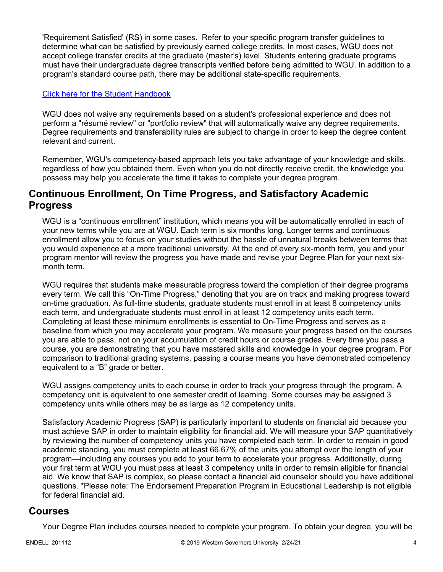'Requirement Satisfied' (RS) in some cases. Refer to your specific program transfer guidelines to determine what can be satisfied by previously earned college credits. In most cases, WGU does not accept college transfer credits at the graduate (master's) level. Students entering graduate programs must have their undergraduate degree transcripts verified before being admitted to WGU. In addition to a program's standard course path, there may be additional state-specific requirements.

#### [Click here for the Student Handbook](http://cm.wgu.edu/)

WGU does not waive any requirements based on a student's professional experience and does not perform a "résumé review" or "portfolio review" that will automatically waive any degree requirements. Degree requirements and transferability rules are subject to change in order to keep the degree content relevant and current.

Remember, WGU's competency-based approach lets you take advantage of your knowledge and skills, regardless of how you obtained them. Even when you do not directly receive credit, the knowledge you possess may help you accelerate the time it takes to complete your degree program.

### **Continuous Enrollment, On Time Progress, and Satisfactory Academic Progress**

WGU is a "continuous enrollment" institution, which means you will be automatically enrolled in each of your new terms while you are at WGU. Each term is six months long. Longer terms and continuous enrollment allow you to focus on your studies without the hassle of unnatural breaks between terms that you would experience at a more traditional university. At the end of every six-month term, you and your program mentor will review the progress you have made and revise your Degree Plan for your next sixmonth term.

WGU requires that students make measurable progress toward the completion of their degree programs every term. We call this "On-Time Progress," denoting that you are on track and making progress toward on-time graduation. As full-time students, graduate students must enroll in at least 8 competency units each term, and undergraduate students must enroll in at least 12 competency units each term. Completing at least these minimum enrollments is essential to On-Time Progress and serves as a baseline from which you may accelerate your program. We measure your progress based on the courses you are able to pass, not on your accumulation of credit hours or course grades. Every time you pass a course, you are demonstrating that you have mastered skills and knowledge in your degree program. For comparison to traditional grading systems, passing a course means you have demonstrated competency equivalent to a "B" grade or better.

WGU assigns competency units to each course in order to track your progress through the program. A competency unit is equivalent to one semester credit of learning. Some courses may be assigned 3 competency units while others may be as large as 12 competency units.

Satisfactory Academic Progress (SAP) is particularly important to students on financial aid because you must achieve SAP in order to maintain eligibility for financial aid. We will measure your SAP quantitatively by reviewing the number of competency units you have completed each term. In order to remain in good academic standing, you must complete at least 66.67% of the units you attempt over the length of your program—including any courses you add to your term to accelerate your progress. Additionally, during your first term at WGU you must pass at least 3 competency units in order to remain eligible for financial aid. We know that SAP is complex, so please contact a financial aid counselor should you have additional questions. \*Please note: The Endorsement Preparation Program in Educational Leadership is not eligible for federal financial aid.

### **Courses**

Your Degree Plan includes courses needed to complete your program. To obtain your degree, you will be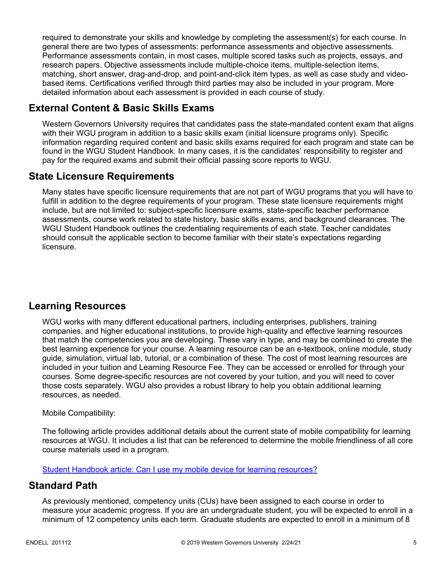required to demonstrate your skills and knowledge by completing the assessment(s) for each course. In general there are two types of assessments: performance assessments and objective assessments. Performance assessments contain, in most cases, multiple scored tasks such as projects, essays, and research papers. Objective assessments include multiple-choice items, multiple-selection items, matching, short answer, drag-and-drop, and point-and-click item types, as well as case study and videobased items. Certifications verified through third parties may also be included in your program. More detailed information about each assessment is provided in each course of study.

# **External Content & Basic Skills Exams**

Western Governors University requires that candidates pass the state-mandated content exam that aligns with their WGU program in addition to a basic skills exam (initial licensure programs only). Specific information regarding required content and basic skills exams required for each program and state can be found in the WGU Student Handbook. In many cases, it is the candidates' responsibility to register and pay for the required exams and submit their official passing score reports to WGU.

# **State Licensure Requirements**

Many states have specific licensure requirements that are not part of WGU programs that you will have to fulfill in addition to the degree requirements of your program. These state licensure requirements might include, but are not limited to: subject-specific licensure exams, state-specific teacher performance assessments, course work related to state history, basic skills exams, and background clearances. The WGU Student Handbook outlines the credentialing requirements of each state. Teacher candidates should consult the applicable section to become familiar with their state's expectations regarding licensure.

# **Learning Resources**

WGU works with many different educational partners, including enterprises, publishers, training companies, and higher educational institutions, to provide high-quality and effective learning resources that match the competencies you are developing. These vary in type, and may be combined to create the best learning experience for your course. A learning resource can be an e-textbook, online module, study guide, simulation, virtual lab, tutorial, or a combination of these. The cost of most learning resources are included in your tuition and Learning Resource Fee. They can be accessed or enrolled for through your courses. Some degree-specific resources are not covered by your tuition, and you will need to cover those costs separately. WGU also provides a robust library to help you obtain additional learning resources, as needed.

### Mobile Compatibility:

The following article provides additional details about the current state of mobile compatibility for learning resources at WGU. It includes a list that can be referenced to determine the mobile friendliness of all core course materials used in a program.

[Student Handbook article: Can I use my mobile device for learning resources?](https://cm.wgu.edu/t5/Frequently-Asked-Questions/Can-I-use-my-mobile-device-for-learning-resources/ta-p/396)

### **Standard Path**

As previously mentioned, competency units (CUs) have been assigned to each course in order to measure your academic progress. If you are an undergraduate student, you will be expected to enroll in a minimum of 12 competency units each term. Graduate students are expected to enroll in a minimum of 8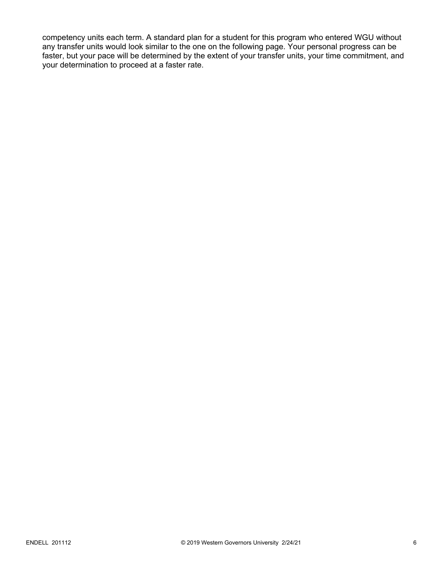competency units each term. A standard plan for a student for this program who entered WGU without any transfer units would look similar to the one on the following page. Your personal progress can be faster, but your pace will be determined by the extent of your transfer units, your time commitment, and your determination to proceed at a faster rate.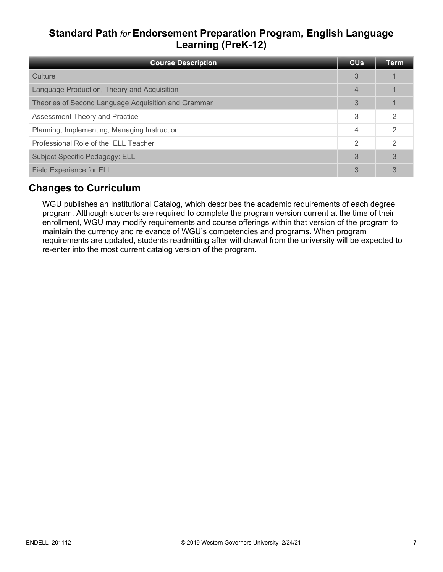# **Standard Path** *for* **Endorsement Preparation Program, English Language Learning (PreK-12)**

| <b>Course Description</b>                           | <b>CU<sub>s</sub></b> | Term           |
|-----------------------------------------------------|-----------------------|----------------|
| Culture                                             | 3                     |                |
| Language Production, Theory and Acquisition         | $\overline{4}$        |                |
| Theories of Second Language Acquisition and Grammar | 3                     |                |
| Assessment Theory and Practice                      | 3                     | $\mathfrak{D}$ |
| Planning, Implementing, Managing Instruction        | 4                     | 2              |
| Professional Role of the ELL Teacher                | 2                     | $\mathcal{D}$  |
| Subject Specific Pedagogy: ELL                      | 3                     | 3              |
| <b>Field Experience for ELL</b>                     | 3                     | 3              |

# **Changes to Curriculum**

WGU publishes an Institutional Catalog, which describes the academic requirements of each degree program. Although students are required to complete the program version current at the time of their enrollment, WGU may modify requirements and course offerings within that version of the program to maintain the currency and relevance of WGU's competencies and programs. When program requirements are updated, students readmitting after withdrawal from the university will be expected to re-enter into the most current catalog version of the program.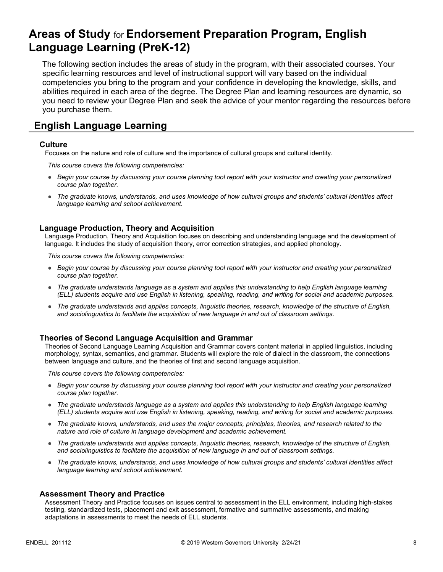# **Areas of Study** for **Endorsement Preparation Program, English Language Learning (PreK-12)**

The following section includes the areas of study in the program, with their associated courses. Your specific learning resources and level of instructional support will vary based on the individual competencies you bring to the program and your confidence in developing the knowledge, skills, and abilities required in each area of the degree. The Degree Plan and learning resources are dynamic, so you need to review your Degree Plan and seek the advice of your mentor regarding the resources before you purchase them.

# **English Language Learning**

#### **Culture**

Focuses on the nature and role of culture and the importance of cultural groups and cultural identity.

*This course covers the following competencies:*

- *Begin your course by discussing your course planning tool report with your instructor and creating your personalized course plan together.*
- *The graduate knows, understands, and uses knowledge of how cultural groups and students' cultural identities affect language learning and school achievement.*

#### **Language Production, Theory and Acquisition**

Language Production, Theory and Acquisition focuses on describing and understanding language and the development of language. It includes the study of acquisition theory, error correction strategies, and applied phonology.

*This course covers the following competencies:*

- *Begin your course by discussing your course planning tool report with your instructor and creating your personalized course plan together.*
- *The graduate understands language as a system and applies this understanding to help English language learning (ELL) students acquire and use English in listening, speaking, reading, and writing for social and academic purposes.*
- *The graduate understands and applies concepts, linguistic theories, research, knowledge of the structure of English, and sociolinguistics to facilitate the acquisition of new language in and out of classroom settings.*

#### **Theories of Second Language Acquisition and Grammar**

Theories of Second Language Learning Acquisition and Grammar covers content material in applied linguistics, including morphology, syntax, semantics, and grammar. Students will explore the role of dialect in the classroom, the connections between language and culture, and the theories of first and second language acquisition.

*This course covers the following competencies:*

- *Begin your course by discussing your course planning tool report with your instructor and creating your personalized course plan together.*
- *The graduate understands language as a system and applies this understanding to help English language learning (ELL) students acquire and use English in listening, speaking, reading, and writing for social and academic purposes.*
- *The graduate knows, understands, and uses the major concepts, principles, theories, and research related to the nature and role of culture in language development and academic achievement.*
- *The graduate understands and applies concepts, linguistic theories, research, knowledge of the structure of English, and sociolinguistics to facilitate the acquisition of new language in and out of classroom settings.*
- *The graduate knows, understands, and uses knowledge of how cultural groups and students' cultural identities affect language learning and school achievement.*

#### **Assessment Theory and Practice**

Assessment Theory and Practice focuses on issues central to assessment in the ELL environment, including high-stakes testing, standardized tests, placement and exit assessment, formative and summative assessments, and making adaptations in assessments to meet the needs of ELL students.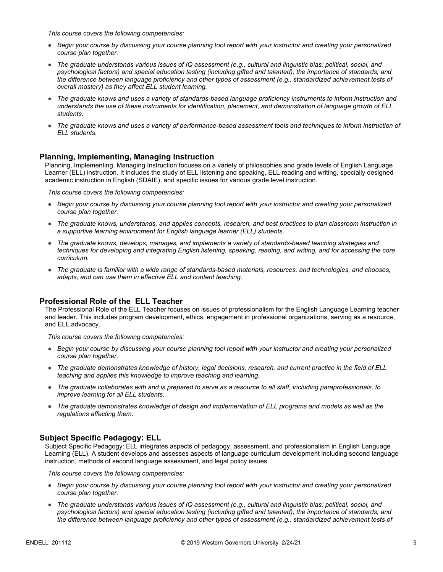*This course covers the following competencies:*

- *Begin your course by discussing your course planning tool report with your instructor and creating your personalized course plan together.*
- *The graduate understands various issues of IQ assessment (e.g., cultural and linguistic bias; political, social, and psychological factors) and special education testing (including gifted and talented); the importance of standards; and the difference between language proficiency and other types of assessment (e.g., standardized achievement tests of overall mastery) as they affect ELL student learning.*
- *The graduate knows and uses a variety of standards-based language proficiency instruments to inform instruction and understands the use of these instruments for identification, placement, and demonstration of language growth of ELL students.*
- *The graduate knows and uses a variety of performance-based assessment tools and techniques to inform instruction of ELL students.*

#### **Planning, Implementing, Managing Instruction**

Planning, Implementing, Managing Instruction focuses on a variety of philosophies and grade levels of English Language Learner (ELL) instruction. It includes the study of ELL listening and speaking, ELL reading and writing, specially designed academic instruction in English (SDAIE), and specific issues for various grade level instruction.

*This course covers the following competencies:*

- *Begin your course by discussing your course planning tool report with your instructor and creating your personalized course plan together.*
- *The graduate knows, understands, and applies concepts, research, and best practices to plan classroom instruction in a supportive learning environment for English language learner (ELL) students.*
- *The graduate knows, develops, manages, and implements a variety of standards-based teaching strategies and techniques for developing and integrating English listening, speaking, reading, and writing, and for accessing the core curriculum.*
- *The graduate is familiar with a wide range of standards-based materials, resources, and technologies, and chooses, adapts, and can use them in effective ELL and content teaching.*

#### **Professional Role of the ELL Teacher**

The Professional Role of the ELL Teacher focuses on issues of professionalism for the English Language Learning teacher and leader. This includes program development, ethics, engagement in professional organizations, serving as a resource, and ELL advocacy.

*This course covers the following competencies:*

- *Begin your course by discussing your course planning tool report with your instructor and creating your personalized course plan together.*
- *The graduate demonstrates knowledge of history, legal decisions, research, and current practice in the field of ELL teaching and applies this knowledge to improve teaching and learning.*
- *The graduate collaborates with and is prepared to serve as a resource to all staff, including paraprofessionals, to improve learning for all ELL students.*
- *The graduate demonstrates knowledge of design and implementation of ELL programs and models as well as the regulations affecting them.*

#### **Subject Specific Pedagogy: ELL**

Subject Specific Pedagogy: ELL integrates aspects of pedagogy, assessment, and professionalism in English Language Learning (ELL). A student develops and assesses aspects of language curriculum development including second language instruction, methods of second language assessment, and legal policy issues.

*This course covers the following competencies:*

- *Begin your course by discussing your course planning tool report with your instructor and creating your personalized course plan together.*
- *The graduate understands various issues of IQ assessment (e.g., cultural and linguistic bias; political, social, and psychological factors) and special education testing (including gifted and talented); the importance of standards; and the difference between language proficiency and other types of assessment (e.g., standardized achievement tests of*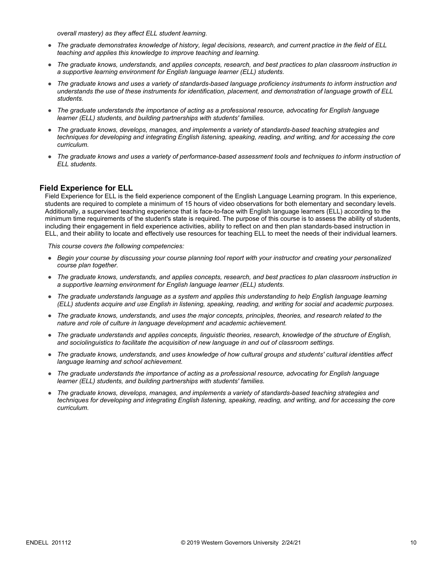*overall mastery) as they affect ELL student learning.*

- *The graduate demonstrates knowledge of history, legal decisions, research, and current practice in the field of ELL teaching and applies this knowledge to improve teaching and learning.*
- *The graduate knows, understands, and applies concepts, research, and best practices to plan classroom instruction in a supportive learning environment for English language learner (ELL) students.*
- *The graduate knows and uses a variety of standards-based language proficiency instruments to inform instruction and understands the use of these instruments for identification, placement, and demonstration of language growth of ELL students.*
- *The graduate understands the importance of acting as a professional resource, advocating for English language learner (ELL) students, and building partnerships with students' families.*
- *The graduate knows, develops, manages, and implements a variety of standards-based teaching strategies and techniques for developing and integrating English listening, speaking, reading, and writing, and for accessing the core curriculum.*
- *The graduate knows and uses a variety of performance-based assessment tools and techniques to inform instruction of ELL students.*

#### **Field Experience for ELL**

Field Experience for ELL is the field experience component of the English Language Learning program. In this experience, students are required to complete a minimum of 15 hours of video observations for both elementary and secondary levels. Additionally, a supervised teaching experience that is face-to-face with English language learners (ELL) according to the minimum time requirements of the student's state is required. The purpose of this course is to assess the ability of students, including their engagement in field experience activities, ability to reflect on and then plan standards-based instruction in ELL, and their ability to locate and effectively use resources for teaching ELL to meet the needs of their individual learners.

*This course covers the following competencies:*

- *Begin your course by discussing your course planning tool report with your instructor and creating your personalized course plan together.*
- *The graduate knows, understands, and applies concepts, research, and best practices to plan classroom instruction in a supportive learning environment for English language learner (ELL) students.*
- *The graduate understands language as a system and applies this understanding to help English language learning (ELL) students acquire and use English in listening, speaking, reading, and writing for social and academic purposes.*
- *The graduate knows, understands, and uses the major concepts, principles, theories, and research related to the nature and role of culture in language development and academic achievement.*
- *The graduate understands and applies concepts, linguistic theories, research, knowledge of the structure of English, and sociolinguistics to facilitate the acquisition of new language in and out of classroom settings.*
- *The graduate knows, understands, and uses knowledge of how cultural groups and students' cultural identities affect language learning and school achievement.*
- *The graduate understands the importance of acting as a professional resource, advocating for English language learner (ELL) students, and building partnerships with students' families.*
- *The graduate knows, develops, manages, and implements a variety of standards-based teaching strategies and techniques for developing and integrating English listening, speaking, reading, and writing, and for accessing the core curriculum.*